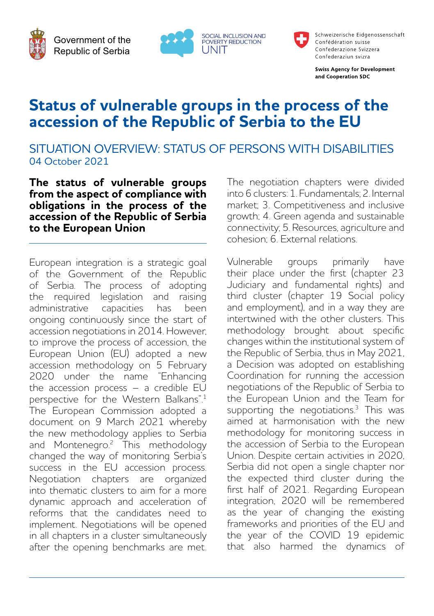Government of the Republic of Serbia



Schweizerische Eidgenossenschaft Confédération suisse Confederazione Svizzera Confederaziun svizra

**Swiss Agency for Development** and Cooperation SDC

# **Status of vulnerable groups in the process of the accession of the Republic of Serbia to the EU**

SITUATION OVERVIEW: STATUS OF PERSONS WITH DISABILITIES 04 October 2021

**The status of vulnerable groups from the aspect of compliance with obligations in the process of the accession of the Republic of Serbia to the European Union**

European integration is a strategic goal of the Government of the Republic of Serbia. The process of adopting the required legislation and raising administrative capacities has been ongoing continuously since the start of accession negotiations in 2014. However, to improve the process of accession, the European Union (EU) adopted a new accession methodology on 5 February 2020 under the name "Enhancing the accession process – a credible EU perspective for the Western Balkans".<sup>1</sup> The European Commission adopted a document on 9 March 2021 whereby the new methodology applies to Serbia and Montenegro.<sup>2</sup> This methodology changed the way of monitoring Serbia's success in the EU accession process. Negotiation chapters are organized into thematic clusters to aim for a more dynamic approach and acceleration of reforms that the candidates need to implement. Negotiations will be opened in all chapters in a cluster simultaneously after the opening benchmarks are met. The negotiation chapters were divided into 6 clusters: 1. Fundamentals; 2. Internal market: 3. Competitiveness and inclusive growth; 4. Green agenda and sustainable connectivity; 5. Resources, agriculture and cohesion; 6. External relations.

Vulnerable groups primarily have their place under the first (chapter 23 Judiciary and fundamental rights) and third cluster (chapter 19 Social policy and employment), and in a way they are intertwined with the other clusters. This methodology brought about specific changes within the institutional system of the Republic of Serbia, thus in May 2021, a Decision was adopted on establishing Coordination for running the accession negotiations of the Republic of Serbia to the European Union and the Team for supporting the negotiations. $3$  This was aimed at harmonisation with the new methodology for monitoring success in the accession of Serbia to the European Union. Despite certain activities in 2020, Serbia did not open a single chapter nor the expected third cluster during the first half of 2021. Regarding European integration, 2020 will be remembered as the year of changing the existing frameworks and priorities of the EU and the year of the COVID 19 epidemic that also harmed the dynamics of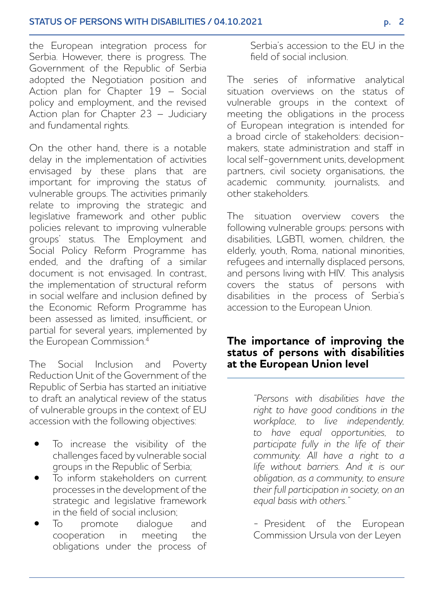the European integration process for Serbia. However, there is progress. The Government of the Republic of Serbia adopted the Negotiation position and Action plan for Chapter 19 – Social policy and employment, and the revised Action plan for Chapter 23 – Judiciary and fundamental rights.

On the other hand, there is a notable delay in the implementation of activities envisaged by these plans that are important for improving the status of vulnerable groups. The activities primarily relate to improving the strategic and legislative framework and other public policies relevant to improving vulnerable groups' status. The Employment and Social Policy Reform Programme has ended, and the drafting of a similar document is not envisaged. In contrast, the implementation of structural reform in social welfare and inclusion defined by the Economic Reform Programme has been assessed as limited, insufficient, or partial for several years, implemented by the European Commission.<sup>4</sup>

The Social Inclusion and Poverty Reduction Unit of the Government of the Republic of Serbia has started an initiative to draft an analytical review of the status of vulnerable groups in the context of EU accession with the following objectives:

- To increase the visibility of the challenges faced by vulnerable social groups in the Republic of Serbia;
- To inform stakeholders on current processes in the development of the strategic and legislative framework in the field of social inclusion;
- To promote dialogue and cooperation in meeting the obligations under the process of

Serbia's accession to the EU in the field of social inclusion.

The series of informative analytical situation overviews on the status of vulnerable groups in the context of meeting the obligations in the process of European integration is intended for a broad circle of stakeholders: decisionmakers, state administration and staff in local self-government units, development partners, civil society organisations, the academic community, journalists, and other stakeholders.

The situation overview covers the following vulnerable groups: persons with disabilities, LGBTI, women, children, the elderly, youth, Roma, national minorities, refugees and internally displaced persons, and persons living with HIV. This analysis covers the status of persons with disabilities in the process of Serbia's accession to the European Union.

## **The importance of improving the status of persons with disabilities at the European Union level**

*"Persons with disabilities have the right to have good conditions in the workplace, to live independently, to have equal opportunities, to participate fully in the life of their community. All have a right to a life without barriers. And it is our obligation, as a community, to ensure their full participation in society, on an equal basis with others."* 

- President of the European Commission Ursula von der Leyen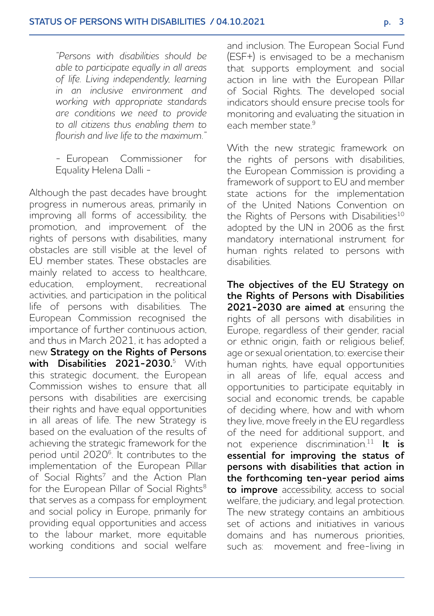*"Persons with disabilities should be able to participate equally in all areas of life. Living independently, learning in an inclusive environment and working with appropriate standards are conditions we need to provide to all citizens thus enabling them to flourish and live life to the maximum."*

- European Commissioner for Equality Helena Dalli -

Although the past decades have brought progress in numerous areas, primarily in improving all forms of accessibility, the promotion, and improvement of the rights of persons with disabilities, many obstacles are still visible at the level of EU member states. These obstacles are mainly related to access to healthcare education, employment, recreational activities, and participation in the political life of persons with disabilities. The European Commission recognised the importance of further continuous action, and thus in March 2021, it has adopted a new **Strategy on the Rights of Persons with Disabilities 2021-2030.**<sup>5</sup> With this strategic document, the European Commission wishes to ensure that all persons with disabilities are exercising their rights and have equal opportunities in all areas of life. The new Strategy is based on the evaluation of the results of achieving the strategic framework for the period until 20206. It contributes to the implementation of the European Pillar of Social Rights<sup>7</sup> and the Action Plan for the European Pillar of Social Rights<sup>8</sup> that serves as a compass for employment and social policy in Europe, primarily for providing equal opportunities and access to the labour market, more equitable working conditions and social welfare and inclusion. The European Social Fund (ESF+) is envisaged to be a mechanism that supports employment and social action in line with the European Pillar of Social Rights. The developed social indicators should ensure precise tools for monitoring and evaluating the situation in each member state<sup>9</sup>

With the new strategic framework on the rights of persons with disabilities, the European Commission is providing a framework of support to EU and member state actions for the implementation of the United Nations Convention on the Rights of Persons with Disabilities<sup>10</sup> adopted by the UN in 2006 as the first mandatory international instrument for human rights related to persons with disabilities.

**The objectives of the EU Strategy on the Rights of Persons with Disabilities 2021-2030 are aimed at** ensuring the rights of all persons with disabilities in Europe, regardless of their gender, racial or ethnic origin, faith or religious belief, age or sexual orientation, to: exercise their human rights, have equal opportunities in all areas of life, equal access and opportunities to participate equitably in social and economic trends, be capable of deciding where, how and with whom they live, move freely in the EU regardless of the need for additional support, and not experience discrimination.11 **It is essential for improving the status of persons with disabilities that action in the forthcoming ten-year period aims to improve** accessibility, access to social welfare, the judiciary, and legal protection. The new strategy contains an ambitious set of actions and initiatives in various domains and has numerous priorities, such as: movement and free-living in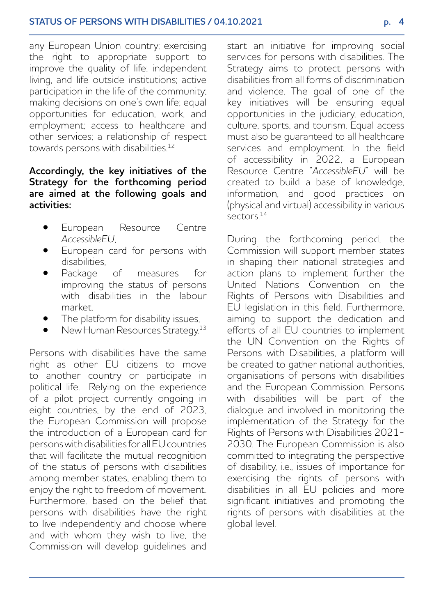any European Union country; exercising the right to appropriate support to improve the quality of life; independent living, and life outside institutions; active participation in the life of the community; making decisions on one's own life; equal opportunities for education, work, and employment; access to healthcare and other services; a relationship of respect towards persons with disabilities.<sup>12</sup>

#### **Accordingly, the key initiatives of the Strategy for the forthcoming period are aimed at the following goals and activities:**

- European Resource Centre *AccessibleEU*,
- European card for persons with disabilities,
- Package of measures for improving the status of persons with disabilities in the labour market,
- The platform for disability issues,
- New Human Resources Strategy.13

Persons with disabilities have the same right as other EU citizens to move to another country or participate in political life. Relying on the experience of a pilot project currently ongoing in eight countries, by the end of 2023, the European Commission will propose the introduction of a European card for persons with disabilities for all EU countries that will facilitate the mutual recognition of the status of persons with disabilities among member states, enabling them to enjoy the right to freedom of movement. Furthermore, based on the belief that persons with disabilities have the right to live independently and choose where and with whom they wish to live, the Commission will develop guidelines and

start an initiative for improving social services for persons with disabilities. The Strategy aims to protect persons with disabilities from all forms of discrimination and violence. The goal of one of the key initiatives will be ensuring equal opportunities in the judiciary, education, culture, sports, and tourism. Equal access must also be guaranteed to all healthcare services and employment. In the field of accessibility in 2022, a European Resource Centre "*AccessibleEU*" will be created to build a base of knowledge, information, and good practices on (physical and virtual) accessibility in various  $s$ ectors<sup>14</sup>

During the forthcoming period, the Commission will support member states in shaping their national strategies and action plans to implement further the United Nations Convention on the Rights of Persons with Disabilities and EU legislation in this field. Furthermore, aiming to support the dedication and efforts of all EU countries to implement the UN Convention on the Rights of Persons with Disabilities, a platform will be created to gather national authorities, organisations of persons with disabilities and the European Commission. Persons with disabilities will be part of the dialogue and involved in monitoring the implementation of the Strategy for the Rights of Persons with Disabilities 2021- 2030. The European Commission is also committed to integrating the perspective of disability, i.e., issues of importance for exercising the rights of persons with disabilities in all EU policies and more significant initiatives and promoting the rights of persons with disabilities at the global level.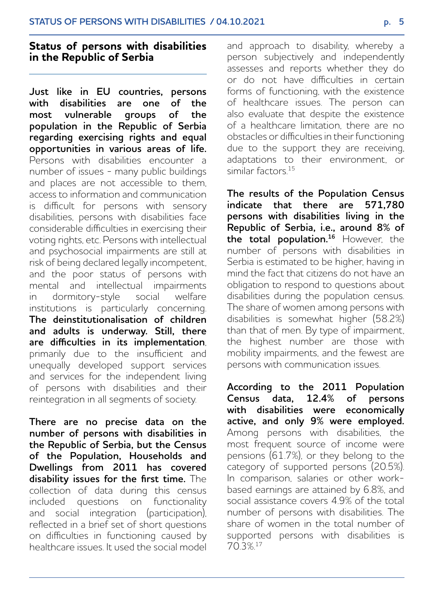# **Status of persons with disabilities in the Republic of Serbia**

**Just like in EU countries, persons with disabilities are one of the**  most vulnerable **population in the Republic of Serbia regarding exercising rights and equal opportunities in various areas of life.**  Persons with disabilities encounter a number of issues - many public buildings and places are not accessible to them, access to information and communication is difficult for persons with sensory disabilities, persons with disabilities face considerable difficulties in exercising their voting rights, etc. Persons with intellectual and psychosocial impairments are still at risk of being declared legally incompetent, and the poor status of persons with mental and intellectual impairments in dormitory-style social welfare institutions is particularly concerning. **The deinstitutionalisation of children and adults is underway. Still, there are difficulties in its implementation**, primarily due to the insufficient and unequally developed support services and services for the independent living of persons with disabilities and their reintegration in all segments of society.

**There are no precise data on the number of persons with disabilities in the Republic of Serbia, but the Census of the Population, Households and Dwellings from 2011 has covered disability issues for the first time.** The collection of data during this census included questions on functionality and social integration (participation), reflected in a brief set of short questions on difficulties in functioning caused by healthcare issues. It used the social model and approach to disability, whereby a person subjectively and independently assesses and reports whether they do or do not have difficulties in certain forms of functioning, with the existence of healthcare issues. The person can also evaluate that despite the existence of a healthcare limitation, there are no obstacles or difficulties in their functioning due to the support they are receiving, adaptations to their environment, or similar factors.15

**The results of the Population Census indicate that there are 571,780 persons with disabilities living in the Republic of Serbia, i.e., around 8% of the total population.16** However, the number of persons with disabilities in Serbia is estimated to be higher, having in mind the fact that citizens do not have an obligation to respond to questions about disabilities during the population census. The share of women among persons with disabilities is somewhat higher (58.2%) than that of men. By type of impairment, the highest number are those with mobility impairments, and the fewest are persons with communication issues.

**According to the 2011 Population Census data, 12.4% of persons with disabilities were economically active, and only 9% were employed.**  Among persons with disabilities, the most frequent source of income were pensions (61.7%), or they belong to the category of supported persons (20.5%). In comparison, salaries or other workbased earnings are attained by 6.8%, and social assistance covers 4.9% of the total number of persons with disabilities. The share of women in the total number of supported persons with disabilities is 70.3%.17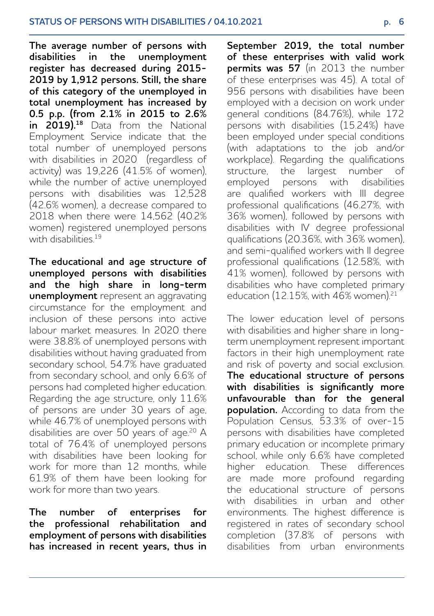**The average number of persons with**  disabilities in the **register has decreased during 2015- 2019 by 1,912 persons. Still, the share of this category of the unemployed in total unemployment has increased by 0.5 p.p. (from 2.1% in 2015 to 2.6%**  in 2019).<sup>18</sup> Data from the National Employment Service indicate that the total number of unemployed persons with disabilities in 2020 (regardless of activity) was 19,226  $(41.5\% \text{ of women})$ while the number of active unemployed persons with disabilities was 12,528 (42.6% women), a decrease compared to 2018 when there were 14,562 (40.2% women) registered unemployed persons with disabilities<sup>19</sup>

**The educational and age structure of unemployed persons with disabilities and the high share in long-term unemployment** represent an aggravating circumstance for the employment and inclusion of these persons into active labour market measures. In 2020 there were 38.8% of unemployed persons with disabilities without having graduated from secondary school, 54.7% have graduated from secondary school, and only 6.6% of persons had completed higher education. Regarding the age structure, only 11.6% of persons are under 30 years of age, while 46.7% of unemployed persons with disabilities are over 50 years of age.<sup>20</sup> A total of 76.4% of unemployed persons with disabilities have been looking for work for more than 12 months, while 61.9% of them have been looking for work for more than two years.

**The number of enterprises for the professional rehabilitation and employment of persons with disabilities has increased in recent years, thus in**  **September 2019, the total number of these enterprises with valid work permits was 57** (in 2013 the number of these enterprises was 45). A total of 956 persons with disabilities have been employed with a decision on work under general conditions (84.76%), while 172 persons with disabilities (15.24%) have been employed under special conditions (with adaptations to the job and/or workplace). Regarding the qualifications structure, the largest number of employed persons with disabilities are qualified workers with III degree professional qualifications (46.27%, with 36% women), followed by persons with disabilities with IV degree professional qualifications (20.36%, with 36% women) and semi-qualified workers with II degree professional qualifications (12.58%, with 41% women), followed by persons with disabilities who have completed primary education (12.15%, with 46% women).<sup>21</sup>

The lower education level of persons with disabilities and higher share in longterm unemployment represent important factors in their high unemployment rate and risk of poverty and social exclusion. **The educational structure of persons with disabilities is significantly more unfavourable than for the general population.** According to data from the Population Census, 53.3% of over-15 persons with disabilities have completed primary education or incomplete primary school, while only 6.6% have completed higher education. These differences are made more profound regarding the educational structure of persons with disabilities in urban and other environments. The highest difference is registered in rates of secondary school completion (37.8% of persons with disabilities from urban environments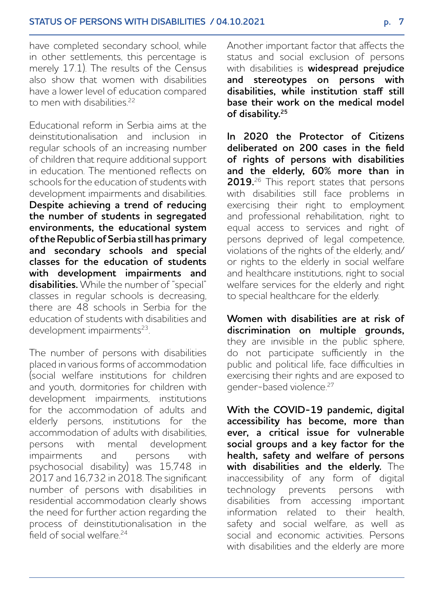have completed secondary school, while in other settlements, this percentage is merely 17.1). The results of the Census also show that women with disabilities have a lower level of education compared to men with disabilities<sup>22</sup>

Educational reform in Serbia aims at the deinstitutionalisation and inclusion in regular schools of an increasing number of children that require additional support in education. The mentioned reflects on schools for the education of students with development impairments and disabilities. **Despite achieving a trend of reducing the number of students in segregated environments, the educational system of the Republic of Serbia still has primary and secondary schools and special classes for the education of students with development impairments and disabilities.** While the number of "special" classes in regular schools is decreasing, there are 48 schools in Serbia for the education of students with disabilities and development impairments<sup>23</sup>.

The number of persons with disabilities placed in various forms of accommodation (social welfare institutions for children and youth, dormitories for children with development impairments, institutions for the accommodation of adults and elderly persons, institutions for the accommodation of adults with disabilities, persons with mental development impairments and persons with psychosocial disability) was 15,748 in 2017 and 16,732 in 2018. The significant number of persons with disabilities in residential accommodation clearly shows the need for further action regarding the process of deinstitutionalisation in the  $\frac{1}{2}$ field of social welfare<sup>24</sup>

Another important factor that affects the status and social exclusion of persons with disabilities is **widespread prejudice and stereotypes on persons with disabilities, while institution staff still base their work on the medical model of disability.<sup>25</sup>**

**In 2020 the Protector of Citizens deliberated on 200 cases in the field of rights of persons with disabilities and the elderly, 60% more than in 2019.**26 This report states that persons with disabilities still face problems in exercising their right to employment and professional rehabilitation, right to equal access to services and right of persons deprived of legal competence, violations of the rights of the elderly, and/ or rights to the elderly in social welfare and healthcare institutions, right to social welfare services for the elderly and right to special healthcare for the elderly.

**Women with disabilities are at risk of discrimination on multiple grounds,**  they are invisible in the public sphere, do not participate sufficiently in the public and political life, face difficulties in exercising their rights and are exposed to gender-based violence.<sup>27</sup>

**With the COVID-19 pandemic, digital accessibility has become, more than ever, a critical issue for vulnerable social groups and a key factor for the health, safety and welfare of persons with disabilities and the elderly.** The inaccessibility of any form of digital technology prevents persons with disabilities from accessing important information related to their health, safety and social welfare, as well as social and economic activities. Persons with disabilities and the elderly are more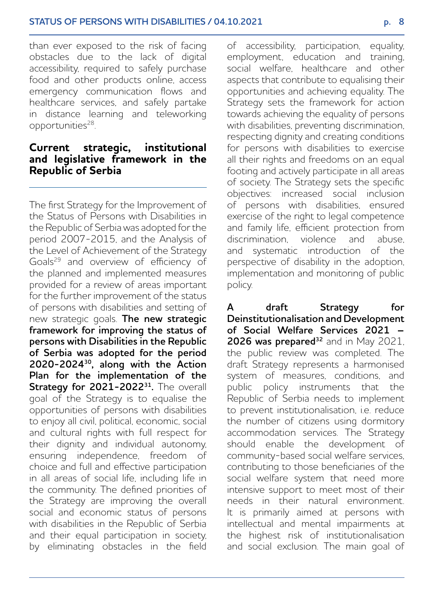than ever exposed to the risk of facing obstacles due to the lack of digital accessibility, required to safely purchase food and other products online, access emergency communication flows and healthcare services, and safely partake in distance learning and teleworking opportunities<sup>28</sup>.

#### **Current strategic, institutional and legislative framework in the Republic of Serbia**

The first Strategy for the Improvement of the Status of Persons with Disabilities in the Republic of Serbia was adopted for the period 2007-2015, and the Analysis of the Level of Achievement of the Strategy Goals29 and overview of efficiency of the planned and implemented measures provided for a review of areas important for the further improvement of the status of persons with disabilities and setting of new strategic goals. **The new strategic framework for improving the status of persons with Disabilities in the Republic of Serbia was adopted for the period 2020-202430, along with the Action Plan for the implementation of the Strategy for 2021-2022<sup>31</sup>.** The overall goal of the Strategy is to equalise the opportunities of persons with disabilities to enjoy all civil, political, economic, social and cultural rights with full respect for their dignity and individual autonomy, ensuring independence, freedom of choice and full and effective participation in all areas of social life, including life in the community. The defined priorities of the Strategy are improving the overall social and economic status of persons with disabilities in the Republic of Serbia and their equal participation in society, by eliminating obstacles in the field

of accessibility, participation, equality, employment, education and training, social welfare, healthcare and other aspects that contribute to equalising their opportunities and achieving equality. The Strategy sets the framework for action towards achieving the equality of persons with disabilities, preventing discrimination, respecting dignity and creating conditions for persons with disabilities to exercise all their rights and freedoms on an equal footing and actively participate in all areas of society. The Strategy sets the specific objectives: increased social inclusion of persons with disabilities, ensured exercise of the right to legal competence and family life, efficient protection from discrimination, violence and abuse, and systematic introduction of the perspective of disability in the adoption, implementation and monitoring of public policy.

**A draft Strategy for Deinstitutionalisation and Development of Social Welfare Services 2021 – 2026 was prepared<sup>32</sup>** and in May 2021, the public review was completed. The draft Strategy represents a harmonised system of measures, conditions, and public policy instruments that the Republic of Serbia needs to implement to prevent institutionalisation, i.e. reduce the number of citizens using dormitory accommodation services. The Strategy should enable the development of community-based social welfare services, contributing to those beneficiaries of the social welfare system that need more intensive support to meet most of their needs in their natural environment. It is primarily aimed at persons with intellectual and mental impairments at the highest risk of institutionalisation and social exclusion. The main goal of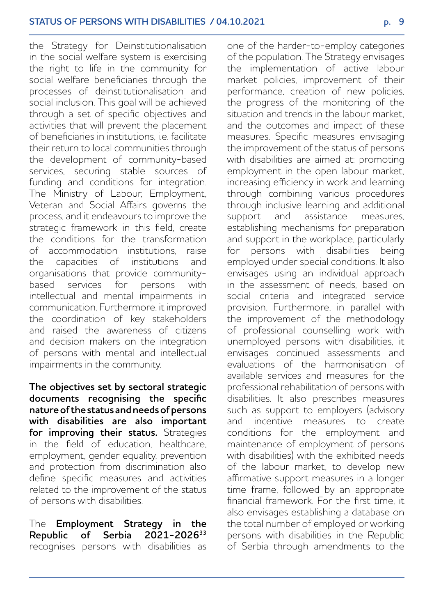the Strategy for Deinstitutionalisation in the social welfare system is exercising the right to life in the community for social welfare beneficiaries through the processes of deinstitutionalisation and social inclusion. This goal will be achieved through a set of specific objectives and activities that will prevent the placement of beneficiaries in institutions, i.e. facilitate their return to local communities through the development of community-based services, securing stable sources of funding and conditions for integration. The Ministry of Labour, Employment, Veteran and Social Affairs governs the process, and it endeavours to improve the strategic framework in this field, create the conditions for the transformation of accommodation institutions, raise the capacities of institutions and organisations that provide communitybased services for persons with intellectual and mental impairments in communication. Furthermore, it improved the coordination of key stakeholders and raised the awareness of citizens and decision makers on the integration of persons with mental and intellectual impairments in the community.

**The objectives set by sectoral strategic documents recognising the specific nature of the status and needs of persons with disabilities are also important for improving their status.** Strategies in the field of education, healthcare, employment, gender equality, prevention and protection from discrimination also define specific measures and activities related to the improvement of the status of persons with disabilities.

The **Employment Strategy in the Republic of Serbia 2021-2026<sup>33</sup>** recognises persons with disabilities as

one of the harder-to-employ categories of the population. The Strategy envisages the implementation of active labour market policies, improvement of their performance, creation of new policies, the progress of the monitoring of the situation and trends in the labour market and the outcomes and impact of these measures. Specific measures envisaging the improvement of the status of persons with disabilities are aimed at: promoting employment in the open labour market increasing efficiency in work and learning through combining various procedures through inclusive learning and additional support and assistance measures, establishing mechanisms for preparation and support in the workplace, particularly for persons with disabilities being employed under special conditions. It also envisages using an individual approach in the assessment of needs, based on social criteria and integrated service provision. Furthermore, in parallel with the improvement of the methodology of professional counselling work with unemployed persons with disabilities, it envisages continued assessments and evaluations of the harmonisation of available services and measures for the professional rehabilitation of persons with disabilities. It also prescribes measures such as support to employers (advisory and incentive measures to create conditions for the employment and maintenance of employment of persons with disabilities) with the exhibited needs of the labour market, to develop new affirmative support measures in a longer time frame, followed by an appropriate financial framework. For the first time, it also envisages establishing a database on the total number of employed or working persons with disabilities in the Republic of Serbia through amendments to the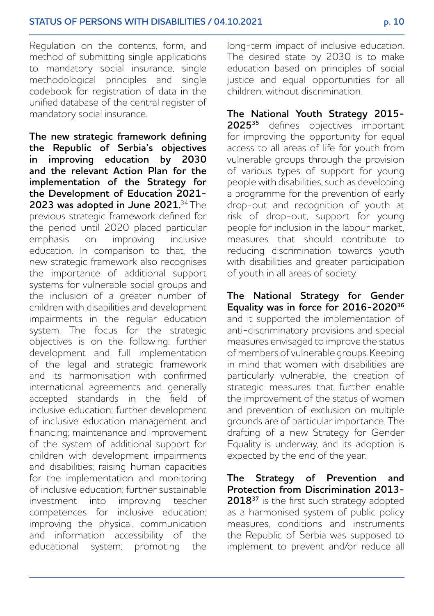Regulation on the contents, form, and method of submitting single applications to mandatory social insurance, single methodological principles and single codebook for registration of data in the unified database of the central register of mandatory social insurance.

**The new strategic framework defining the Republic of Serbia's objectives in improving education by 2030 and the relevant Action Plan for the implementation of the Strategy for the Development of Education 2021- 2023 was adopted in June 2021.**<sup>34</sup>The previous strategic framework defined for the period until 2020 placed particular<br>emphasis on improving inclusive emphasis on education. In comparison to that, the new strategic framework also recognises the importance of additional support systems for vulnerable social groups and the inclusion of a greater number of children with disabilities and development impairments in the regular education system. The focus for the strategic objectives is on the following: further development and full implementation of the legal and strategic framework and its harmonisation with confirmed international agreements and generally accepted standards in the field of inclusive education; further development of inclusive education management and financing; maintenance and improvement of the system of additional support for children with development impairments and disabilities; raising human capacities for the implementation and monitoring of inclusive education; further sustainable investment into improving teacher competences for inclusive education; improving the physical, communication and information accessibility of the educational system; promoting the

long-term impact of inclusive education. The desired state by 2030 is to make education based on principles of social justice and equal opportunities for all children, without discrimination.

**The National Youth Strategy 2015- 2025<sup>35</sup>** defines objectives important for improving the opportunity for equal access to all areas of life for youth from vulnerable groups through the provision of various types of support for young people with disabilities, such as developing a programme for the prevention of early drop-out and recognition of youth at risk of drop-out, support for young people for inclusion in the labour market, measures that should contribute to reducing discrimination towards youth with disabilities and greater participation of youth in all areas of society.

**The National Strategy for Gender Equality was in force for 2016-202036** and it supported the implementation of anti-discriminatory provisions and special measures envisaged to improve the status of members of vulnerable groups. Keeping in mind that women with disabilities are particularly vulnerable, the creation of strategic measures that further enable the improvement of the status of women and prevention of exclusion on multiple grounds are of particular importance. The drafting of a new Strategy for Gender Equality is underway, and its adoption is expected by the end of the year.

**The Strategy of Prevention and Protection from Discrimination 2013-** 2018<sup>37</sup> is the first such strategy adopted as a harmonised system of public policy measures, conditions and instruments the Republic of Serbia was supposed to implement to prevent and/or reduce all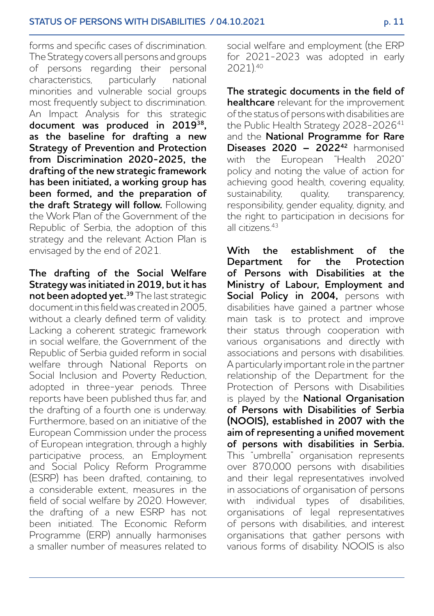forms and specific cases of discrimination. The Strategy covers all persons and groups of persons regarding their personal characteristics, particularly national minorities and vulnerable social groups most frequently subject to discrimination. An Impact Analysis for this strategic **document was produced in 201938, as the baseline for drafting a new Strategy of Prevention and Protection from Discrimination 2020-2025, the drafting of the new strategic framework has been initiated, a working group has been formed, and the preparation of the draft Strategy will follow.** Following the Work Plan of the Government of the Republic of Serbia, the adoption of this strategy and the relevant Action Plan is envisaged by the end of 2021.

**The drafting of the Social Welfare Strategy was initiated in 2019, but it has not been adopted yet.39** The last strategic document in this field was created in 2005, without a clearly defined term of validity. Lacking a coherent strategic framework in social welfare, the Government of the Republic of Serbia guided reform in social welfare through National Reports on Social Inclusion and Poverty Reduction, adopted in three-year periods. Three reports have been published thus far, and the drafting of a fourth one is underway. Furthermore, based on an initiative of the European Commission under the process of European integration, through a highly participative process, an Employment and Social Policy Reform Programme (ESRP) has been drafted, containing, to a considerable extent, measures in the field of social welfare by 2020. However, the drafting of a new ESRP has not been initiated. The Economic Reform Programme (ERP) annually harmonises a smaller number of measures related to social welfare and employment (the ERP for 2021-2023 was adopted in early 2021).40

**The strategic documents in the field of healthcare** relevant for the improvement of the status of persons with disabilities are the Public Health Strategy 2028-2026<sup>41</sup> and the **National Programme for Rare Diseases 2020 – 2022<sup>42</sup>** harmonised with the European "Health 2020" policy and noting the value of action for achieving good health, covering equality,<br>sustainability, auality, transparency, guality, transparency, responsibility, gender equality, dignity, and the right to participation in decisions for all citizens<sup>43</sup>

**With the establishment of the Department for the Protection of Persons with Disabilities at the Ministry of Labour, Employment and**  Social Policy in 2004, persons with disabilities have gained a partner whose main task is to protect and improve their status through cooperation with various organisations and directly with associations and persons with disabilities. A particularly important role in the partner relationship of the Department for the Protection of Persons with Disabilities is played by the **National Organisation of Persons with Disabilities of Serbia (NOOIS), established in 2007 with the aim of representing a unified movement of persons with disabilities in Serbia.** This "umbrella" organisation represents over 870,000 persons with disabilities and their legal representatives involved in associations of organisation of persons with individual types of disabilities, organisations of legal representatives of persons with disabilities, and interest organisations that gather persons with various forms of disability. NOOIS is also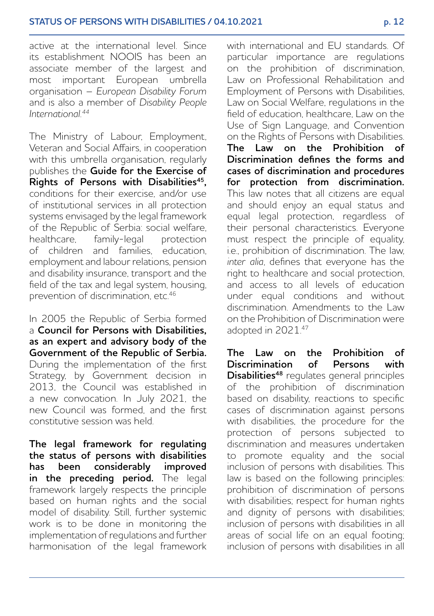active at the international level. Since its establishment NOOIS has been an associate member of the largest and most important European umbrella organisation – *European Disability Forum* and is also a member of *Disability People International.44*

The Ministry of Labour, Employment, Veteran and Social Affairs, in cooperation with this umbrella organisation, regularly publishes the **Guide for the Exercise of Rights of Persons with Disabilities<sup>45</sup>,**  conditions for their exercise, and/or use of institutional services in all protection systems envisaged by the legal framework of the Republic of Serbia: social welfare,<br>healthcare family-legal protection healthcare, family-legal of children and families, education, employment and labour relations, pension and disability insurance, transport and the field of the tax and legal system, housing, prevention of discrimination, etc.<sup>46</sup>

In 2005 the Republic of Serbia formed a **Council for Persons with Disabilities, as an expert and advisory body of the Government of the Republic of Serbia.** During the implementation of the first Strategy, by Government decision in 2013, the Council was established in a new convocation. In July 2021, the new Council was formed, and the first constitutive session was held.

**The legal framework for regulating the status of persons with disabilities has been considerably improved in the preceding period.** The legal framework largely respects the principle based on human rights and the social model of disability. Still, further systemic work is to be done in monitoring the implementation of regulations and further harmonisation of the legal framework with international and EU standards. Of particular importance are regulations on the prohibition of discrimination, Law on Professional Rehabilitation and Employment of Persons with Disabilities, Law on Social Welfare, regulations in the field of education, healthcare, Law on the Use of Sign Language, and Convention on the Rights of Persons with Disabilities. **The Law on the Prohibition of Discrimination defines the forms and cases of discrimination and procedures for protection from discrimination.** This law notes that all citizens are equal and should enjoy an equal status and equal legal protection, regardless of their personal characteristics. Everyone must respect the principle of equality, i.e., prohibition of discrimination. The law, *inter alia*, defines that everyone has the right to healthcare and social protection, and access to all levels of education under equal conditions and without discrimination. Amendments to the Law on the Prohibition of Discrimination were adopted in 2021.47

**The Law on the Prohibition of Discrimination of Persons with Disabilities48** regulates general principles of the prohibition of discrimination based on disability, reactions to specific cases of discrimination against persons with disabilities, the procedure for the protection of persons subjected to discrimination and measures undertaken to promote equality and the social inclusion of persons with disabilities. This law is based on the following principles: prohibition of discrimination of persons with disabilities; respect for human rights and dignity of persons with disabilities; inclusion of persons with disabilities in all areas of social life on an equal footing; inclusion of persons with disabilities in all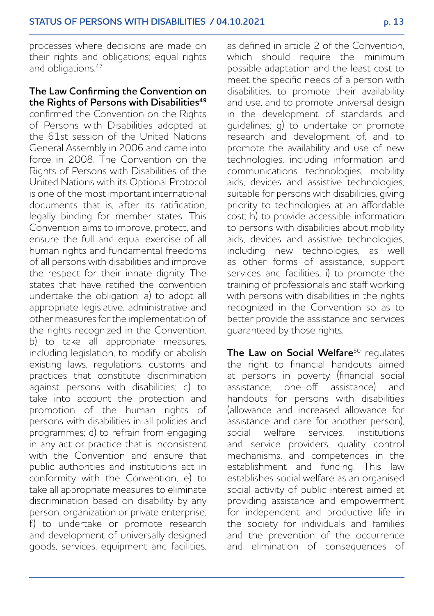processes where decisions are made on their rights and obligations; equal rights and obligations.<sup>47</sup>

#### **The Law Confirming the Convention on the Rights of Persons with Disabilities49**

confirmed the Convention on the Rights of Persons with Disabilities adopted at the 61st session of the United Nations General Assembly in 2006 and came into force in 2008. The Convention on the Rights of Persons with Disabilities of the United Nations with its Optional Protocol is one of the most important international documents that is, after its ratification, legally binding for member states. This Convention aims to improve, protect, and ensure the full and equal exercise of all human rights and fundamental freedoms of all persons with disabilities and improve the respect for their innate dignity. The states that have ratified the convention undertake the obligation: a) to adopt all appropriate legislative, administrative and other measures for the implementation of the rights recognized in the Convention; b) to take all appropriate measures. including legislation, to modify or abolish existing laws, regulations, customs and practices that constitute discrimination against persons with disabilities; c) to take into account the protection and promotion of the human rights of persons with disabilities in all policies and programmes; d) to refrain from engaging in any act or practice that is inconsistent with the Convention and ensure that public authorities and institutions act in conformity with the Convention; e) to take all appropriate measures to eliminate discrimination based on disability by any person, organization or private enterprise; f) to undertake or promote research and development of universally designed goods, services, equipment and facilities, as defined in article 2 of the Convention, which should require the minimum possible adaptation and the least cost to meet the specific needs of a person with disabilities, to promote their availability and use, and to promote universal design in the development of standards and guidelines; g) to undertake or promote research and development of, and to promote the availability and use of new technologies, including information and communications technologies, mobility aids, devices and assistive technologies, suitable for persons with disabilities, giving priority to technologies at an affordable cost; h) to provide accessible information to persons with disabilities about mobility aids, devices and assistive technologies including new technologies, as well as other forms of assistance, support services and facilities; i) to promote the training of professionals and staff working with persons with disabilities in the rights recognized in the Convention so as to better provide the assistance and services guaranteed by those rights.

**The Law on Social Welfare**<sup>50</sup> requlates the right to financial handouts aimed at persons in poverty (financial social assistance, one-off assistance) and handouts for persons with disabilities (allowance and increased allowance for assistance and care for another person) social welfare services, institutions and service providers, quality control mechanisms, and competences in the establishment and funding. This law establishes social welfare as an organised social activity of public interest aimed at providing assistance and empowerment for independent and productive life in the society for individuals and families and the prevention of the occurrence and elimination of consequences of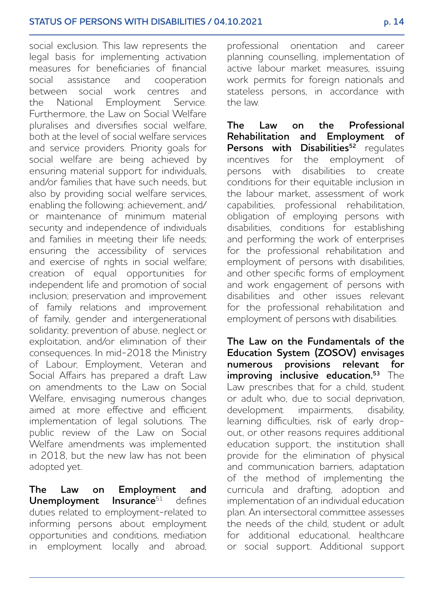social exclusion. This law represents the legal basis for implementing activation measures for beneficiaries of financial social assistance and cooperation between social work centres and the National Employment Service. Furthermore, the Law on Social Welfare pluralises and diversifies social welfare, both at the level of social welfare services and service providers. Priority goals for social welfare are being achieved by ensuring material support for individuals, and/or families that have such needs, but also by providing social welfare services, enabling the following: achievement, and/ or maintenance of minimum material security and independence of individuals and families in meeting their life needs; ensuring the accessibility of services and exercise of rights in social welfare; creation of equal opportunities for independent life and promotion of social inclusion; preservation and improvement of family relations and improvement of family, gender and intergenerational solidarity; prevention of abuse, neglect or exploitation, and/or elimination of their consequences. In mid-2018 the Ministry of Labour, Employment, Veteran and Social Affairs has prepared a draft Law on amendments to the Law on Social Welfare, envisaging numerous changes aimed at more effective and efficient implementation of legal solutions. The public review of the Law on Social Welfare amendments was implemented in 2018, but the new law has not been adopted yet.

**The Law on Employment and <br>
Unemployment Insurance**<sup>51</sup> defines **Unemployment Insurance**<sup>51</sup> defines duties related to employment-related to informing persons about employment opportunities and conditions, mediation in employment locally and abroad. professional orientation and career planning counselling, implementation of active labour market measures, issuing work permits for foreign nationals and stateless persons, in accordance with the law.

**The Law on the Professional Rehabilitation and Employment of Persons with Disabilities<sup>52</sup>** regulates incentives for the employment of persons with disabilities to create conditions for their equitable inclusion in the labour market, assessment of work capabilities, professional rehabilitation, obligation of employing persons with disabilities, conditions for establishing and performing the work of enterprises for the professional rehabilitation and employment of persons with disabilities, and other specific forms of employment and work engagement of persons with disabilities and other issues relevant for the professional rehabilitation and employment of persons with disabilities.

**The Law on the Fundamentals of the Education System (ZOSOV) envisages numerous provisions relevant for improving inclusive education.<sup>53</sup>** The Law prescribes that for a child, student or adult who, due to social deprivation, development impairments, disability, learning difficulties, risk of early dropout, or other reasons requires additional education support, the institution shall provide for the elimination of physical and communication barriers, adaptation of the method of implementing the curricula and drafting, adoption and implementation of an individual education plan. An intersectoral committee assesses .<br>the needs of the child, student or adult for additional educational, healthcare or social support. Additional support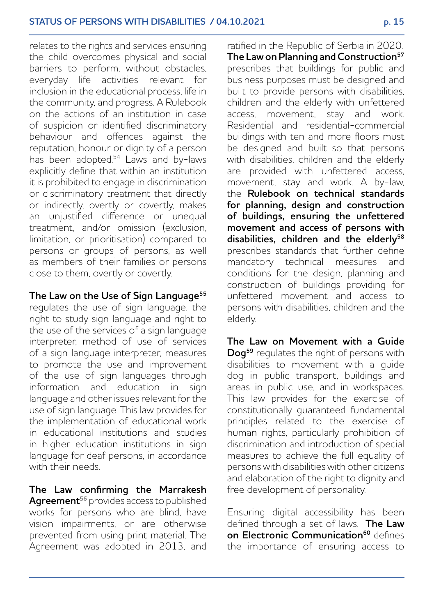relates to the rights and services ensuring the child overcomes physical and social barriers to perform, without obstacles, everyday life activities relevant for inclusion in the educational process, life in the community, and progress. A Rulebook on the actions of an institution in case of suspicion or identified discriminatory behaviour and offences against the reputation, honour or dignity of a person has been adopted.<sup>54</sup> Laws and by-laws explicitly define that within an institution it is prohibited to engage in discrimination or discriminatory treatment that directly or indirectly, overtly or covertly, makes an unjustified difference or unequal treatment, and/or omission (exclusion, limitation, or prioritisation) compared to persons or groups of persons, as well as members of their families or persons close to them, overtly or covertly.

## **The Law on the Use of Sign Language<sup>55</sup>**

regulates the use of sign language, the right to study sign language and right to the use of the services of a sign language interpreter, method of use of services of a sign language interpreter, measures to promote the use and improvement of the use of sign languages through information and education in sign language and other issues relevant for the use of sign language. This law provides for the implementation of educational work in educational institutions and studies in higher education institutions in sign language for deaf persons, in accordance with their needs.

**The Law confirming the Marrakesh Agreement**56 provides access to published works for persons who are blind, have vision impairments, or are otherwise prevented from using print material. The Agreement was adopted in 2013, and

ratified in the Republic of Serbia in 2020. **The Law on Planning and Construction57** prescribes that buildings for public and business purposes must be designed and built to provide persons with disabilities, children and the elderly with unfettered access, movement, stay and work. Residential and residential-commercial buildings with ten and more floors must be designed and built so that persons with disabilities, children and the elderly are provided with unfettered access, movement, stay and work. A by-law, the **Rulebook on technical standards for planning, design and construction of buildings, ensuring the unfettered movement and access of persons with disabilities, children and the elderly58**  prescribes standards that further define mandatory technical measures and conditions for the design, planning and construction of buildings providing for unfettered movement and access to persons with disabilities, children and the elderly.

**The Law on Movement with a Guide Dog59** regulates the right of persons with disabilities to movement with a guide dog in public transport, buildings and areas in public use, and in workspaces. This law provides for the exercise of constitutionally guaranteed fundamental principles related to the exercise of human rights, particularly prohibition of discrimination and introduction of special measures to achieve the full equality of persons with disabilities with other citizens and elaboration of the right to dignity and free development of personality.

Ensuring digital accessibility has been defined through a set of laws. **The Law on Electronic Communication<sup>60</sup> defines** the importance of ensuring access to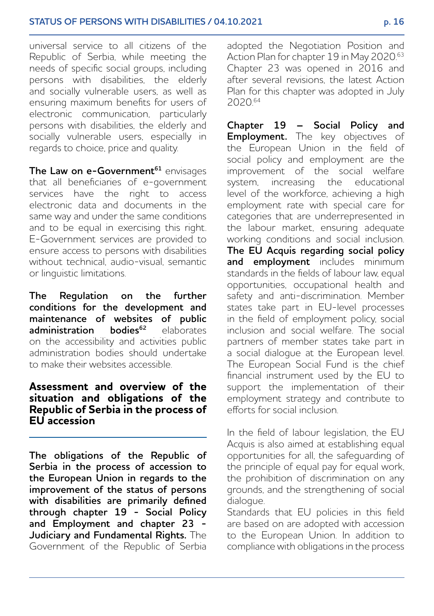universal service to all citizens of the Republic of Serbia, while meeting the needs of specific social groups, including persons with disabilities, the elderly and socially vulnerable users, as well as ensuring maximum benefits for users of electronic communication, particularly persons with disabilities, the elderly and socially vulnerable users, especially in regards to choice, price and quality.

The Law on e-Government<sup>61</sup> envisages that all beneficiaries of e-government services have the right to access electronic data and documents in the same way and under the same conditions and to be equal in exercising this right. E-Government services are provided to ensure access to persons with disabilities without technical, audio-visual, semantic or linguistic limitations.

**The Regulation on the further conditions for the development and maintenance of websites of public<br>
<b>administration bodies<sup>62</sup>** elaborates **administration bodies62** elaborates on the accessibility and activities public administration bodies should undertake to make their websites accessible.

#### **Assessment and overview of the situation and obligations of the Republic of Serbia in the process of EU accession**

**The obligations of the Republic of Serbia in the process of accession to the European Union in regards to the improvement of the status of persons with disabilities are primarily defined through chapter 19 - Social Policy and Employment and chapter 23 - Judiciary and Fundamental Rights.** The Government of the Republic of Serbia adopted the Negotiation Position and Action Plan for chapter 19 in May 2020.63 Chapter 23 was opened in 2016 and after several revisions, the latest Action Plan for this chapter was adopted in July 2020.64

**Chapter 19 – Social Policy and Employment.** The key objectives of the European Union in the field of social policy and employment are the improvement of the social welfare system, increasing the educational level of the workforce, achieving a high employment rate with special care for categories that are underrepresented in the labour market, ensuring adequate working conditions and social inclusion. **The EU Acquis regarding social policy and employment** includes minimum standards in the fields of labour law, equal opportunities, occupational health and safety and anti-discrimination. Member states take part in EU-level processes in the field of employment policy, social inclusion and social welfare. The social partners of member states take part in a social dialogue at the European level. The European Social Fund is the chief financial instrument used by the EU to support the implementation of their employment strategy and contribute to efforts for social inclusion.

In the field of labour legislation, the EU Acquis is also aimed at establishing equal opportunities for all, the safeguarding of the principle of equal pay for equal work, the prohibition of discrimination on any grounds, and the strengthening of social dialogue.

Standards that EU policies in this field are based on are adopted with accession to the European Union. In addition to compliance with obligations in the process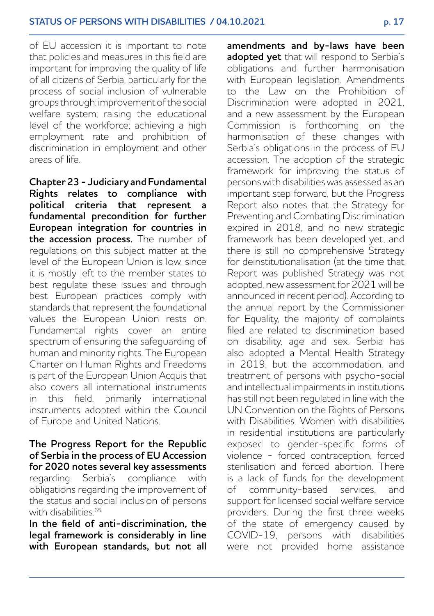of EU accession it is important to note that policies and measures in this field are important for improving the quality of life of all citizens of Serbia, particularly for the process of social inclusion of vulnerable groups through: improvement of the social welfare system; raising the educational level of the workforce; achieving a high employment rate and prohibition of discrimination in employment and other areas of life.

**Chapter 23 - Judiciary and Fundamental Rights relates to compliance with political criteria that represent a fundamental precondition for further European integration for countries in the accession process.** The number of regulations on this subject matter at the level of the European Union is low, since it is mostly left to the member states to best regulate these issues and through best European practices comply with standards that represent the foundational values the European Union rests on. Fundamental rights cover an entire spectrum of ensuring the safeguarding of human and minority rights. The European Charter on Human Rights and Freedoms is part of the European Union Acquis that also covers all international instruments in this field, primarily international instruments adopted within the Council of Europe and United Nations.

#### **The Progress Report for the Republic of Serbia in the process of EU Accession for 2020 notes several key assessments** regarding Serbia's compliance with obligations regarding the improvement of the status and social inclusion of persons with disabilities.<sup>65</sup>

**In the field of anti-discrimination, the legal framework is considerably in line with European standards, but not all**  **amendments and by-laws have been adopted yet** that will respond to Serbia's obligations and further harmonisation with European legislation. Amendments to the Law on the Prohibition of Discrimination were adopted in 2021, and a new assessment by the European Commission is forthcoming on the harmonisation of these changes with Serbia's obligations in the process of EU accession. The adoption of the strategic framework for improving the status of persons with disabilities was assessed as an important step forward, but the Progress Report also notes that the Strategy for Preventing and Combating Discrimination expired in 2018, and no new strategic framework has been developed yet, and there is still no comprehensive Strategy for deinstitutionalisation (at the time that Report was published Strategy was not adopted, new assessment for 2021 will be announced in recent period). According to the annual report by the Commissioner for Equality, the majority of complaints filed are related to discrimination based on disability, age and sex. Serbia has also adopted a Mental Health Strategy in 2019, but the accommodation, and treatment of persons with psycho-social and intellectual impairments in institutions has still not been regulated in line with the UN Convention on the Rights of Persons with Disabilities. Women with disabilities in residential institutions are particularly exposed to gender-specific forms of violence - forced contraception, forced sterilisation and forced abortion. There is a lack of funds for the development of community-based services, and support for licensed social welfare service providers. During the first three weeks of the state of emergency caused by COVID-19, persons with disabilities were not provided home assistance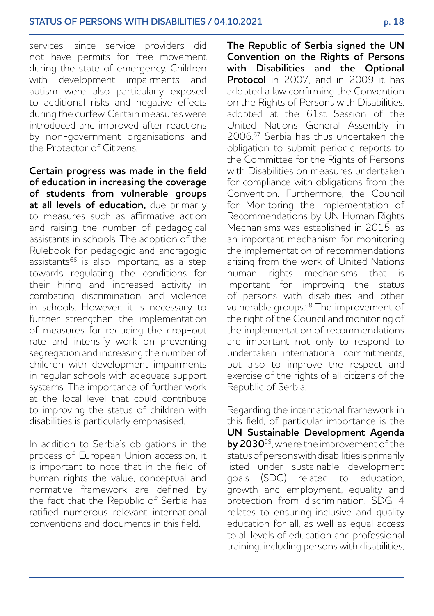services, since service providers did not have permits for free movement during the state of emergency. Children with development impairments and autism were also particularly exposed to additional risks and negative effects during the curfew. Certain measures were introduced and improved after reactions by non-government organisations and the Protector of Citizens.

**Certain progress was made in the field of education in increasing the coverage of students from vulnerable groups at all levels of education,** due primarily to measures such as affirmative action and raising the number of pedagogical assistants in schools. The adoption of the Rulebook for pedagogic and andragogic  $\arcsin 66$  is also important, as a step towards regulating the conditions for their hiring and increased activity in combating discrimination and violence in schools. However, it is necessary to further strengthen the implementation of measures for reducing the drop-out rate and intensify work on preventing segregation and increasing the number of children with development impairments in regular schools with adequate support systems. The importance of further work at the local level that could contribute to improving the status of children with disabilities is particularly emphasised.

In addition to Serbia's obligations in the process of European Union accession, it is important to note that in the field of human rights the value, conceptual and normative framework are defined by the fact that the Republic of Serbia has ratified numerous relevant international conventions and documents in this field.

**The Republic of Serbia signed the UN Convention on the Rights of Persons with Disabilities and the Optional Protocol** in 2007, and in 2009 it has adopted a law confirming the Convention on the Rights of Persons with Disabilities, adopted at the 61st Session of the United Nations General Assembly in 2006.67 Serbia has thus undertaken the obligation to submit periodic reports to the Committee for the Rights of Persons with Disabilities on measures undertaken for compliance with obligations from the Convention. Furthermore, the Council for Monitoring the Implementation of Recommendations by UN Human Rights Mechanisms was established in 2015, as an important mechanism for monitoring the implementation of recommendations arising from the work of United Nations human rights mechanisms that is important for improving the status of persons with disabilities and other vulnerable groups.68 The improvement of the right of the Council and monitoring of the implementation of recommendations are important not only to respond to undertaken international commitments, but also to improve the respect and exercise of the rights of all citizens of the Republic of Serbia.

Regarding the international framework in this field, of particular importance is the **UN Sustainable Development Agenda by 2030**<sup>69</sup>, where the improvement of the status of persons with disabilities is primarily listed under sustainable development goals (SDG) related to education, growth and employment, equality and protection from discrimination. SDG 4 relates to ensuring inclusive and quality education for all, as well as equal access to all levels of education and professional training, including persons with disabilities,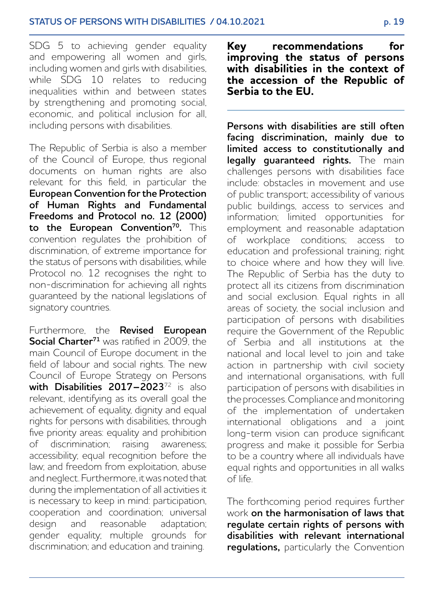SDG 5 to achieving gender equality and empowering all women and girls, including women and girls with disabilities, while SDG 10 relates to reducing inequalities within and between states by strengthening and promoting social, economic, and political inclusion for all, including persons with disabilities.

The Republic of Serbia is also a member of the Council of Europe, thus regional documents on human rights are also relevant for this field, in particular the **European Convention for the Protection of Human Rights and Fundamental Freedoms and Protocol no. 12 (2000)**  to the European Convention<sup>70</sup>. This convention regulates the prohibition of discrimination, of extreme importance for the status of persons with disabilities, while Protocol no. 12 recognises the right to non-discrimination for achieving all rights guaranteed by the national legislations of signatory countries.

Furthermore, the **Revised European Social Charter<sup>71</sup>** was ratified in 2009, the main Council of Europe document in the field of labour and social rights. The new Council of Europe Strategy on Persons **with Disabilities 2017–2023**72 is also relevant, identifying as its overall goal the achievement of equality, dignity and equal rights for persons with disabilities, through five priority areas: equality and prohibition of discrimination; raising awareness; accessibility; equal recognition before the law; and freedom from exploitation, abuse and neglect. Furthermore, it was noted that during the implementation of all activities it is necessary to keep in mind: participation, cooperation and coordination; universal design and reasonable adaptation; gender equality; multiple grounds for discrimination; and education and training.

**Key recommendations for improving the status of persons with disabilities in the context of the accession of the Republic of Serbia to the EU.**

**Persons with disabilities are still often facing discrimination, mainly due to limited access to constitutionally and legally guaranteed rights.** The main challenges persons with disabilities face include: obstacles in movement and use of public transport; accessibility of various public buildings, access to services and information; limited opportunities for employment and reasonable adaptation of workplace conditions; access to education and professional training; right to choice where and how they will live. The Republic of Serbia has the duty to protect all its citizens from discrimination and social exclusion. Equal rights in all areas of society, the social inclusion and participation of persons with disabilities require the Government of the Republic of Serbia and all institutions at the national and local level to join and take action in partnership with civil society and international organisations, with full participation of persons with disabilities in the processes. Compliance and monitoring of the implementation of undertaken international obligations and a joint long-term vision can produce significant progress and make it possible for Serbia to be a country where all individuals have equal rights and opportunities in all walks of life.

The forthcoming period requires further work **on the harmonisation of laws that regulate certain rights of persons with disabilities with relevant international regulations,** particularly the Convention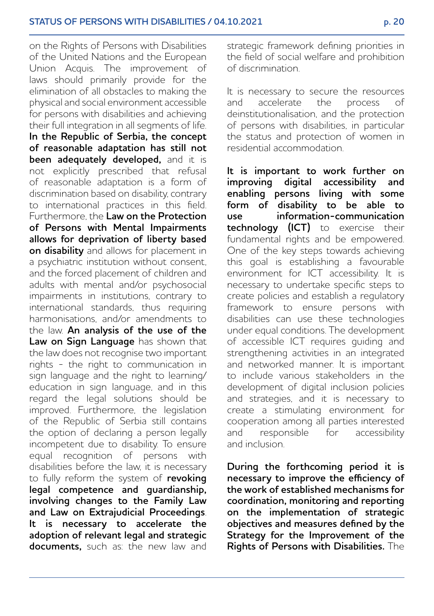on the Rights of Persons with Disabilities of the United Nations and the European Union Acquis. The improvement of laws should primarily provide for the elimination of all obstacles to making the physical and social environment accessible for persons with disabilities and achieving their full integration in all segments of life. **In the Republic of Serbia, the concept of reasonable adaptation has still not been adequately developed,** and it is not explicitly prescribed that refusal of reasonable adaptation is a form of discrimination based on disability, contrary to international practices in this field. Furthermore, the **Law on the Protection of Persons with Mental Impairments allows for deprivation of liberty based on disability** and allows for placement in a psychiatric institution without consent, and the forced placement of children and adults with mental and/or psychosocial impairments in institutions, contrary to international standards, thus requiring harmonisations, and/or amendments to the law. **An analysis of the use of the**  Law on Sign Language has shown that the law does not recognise two important rights - the right to communication in sign language and the right to learning/ education in sign language, and in this regard the legal solutions should be improved. Furthermore, the legislation of the Republic of Serbia still contains the option of declaring a person legally incompetent due to disability. To ensure equal recognition of persons with disabilities before the law, it is necessary to fully reform the system of **revoking legal competence and guardianship, involving changes to the Family Law and Law on Extrajudicial Proceedings**. **It is necessary to accelerate the adoption of relevant legal and strategic documents,** such as: the new law and strategic framework defining priorities in the field of social welfare and prohibition of discrimination.

It is necessary to secure the resources and accelerate the process of deinstitutionalisation, and the protection of persons with disabilities, in particular the status and protection of women in residential accommodation.

**It is important to work further on improving digital accessibility and enabling persons living with some form of disability to be able to use information-communication technology (ICT)** to exercise their fundamental rights and be empowered. One of the key steps towards achieving this goal is establishing a favourable environment for ICT accessibility. It is necessary to undertake specific steps to create policies and establish a regulatory framework to ensure persons with disabilities can use these technologies under equal conditions. The development of accessible ICT requires guiding and strengthening activities in an integrated and networked manner. It is important to include various stakeholders in the development of digital inclusion policies and strategies, and it is necessary to create a stimulating environment for cooperation among all parties interested and responsible for accessibility and inclusion.

**During the forthcoming period it is necessary to improve the efficiency of the work of established mechanisms for coordination, monitoring and reporting on the implementation of strategic objectives and measures defined by the Strategy for the Improvement of the Rights of Persons with Disabilities.** The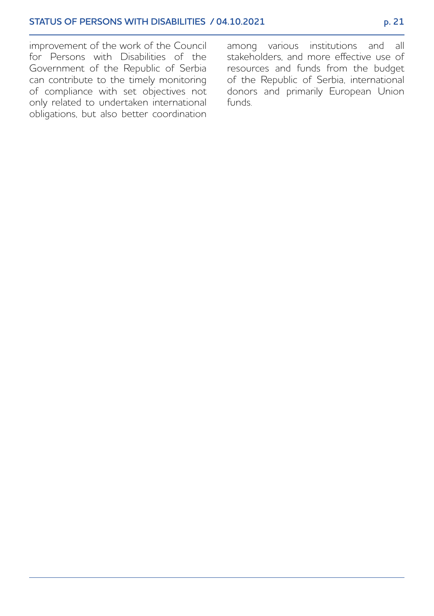improvement of the work of the Council for Persons with Disabilities of the Government of the Republic of Serbia can contribute to the timely monitoring of compliance with set objectives not only related to undertaken international obligations, but also better coordination

among various institutions and all stakeholders, and more effective use of resources and funds from the budget of the Republic of Serbia, international donors and primarily European Union funds.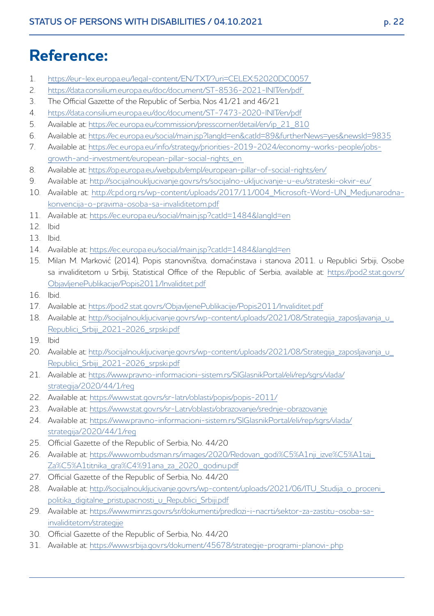# **Reference:**

- 1. https://eur-lex.europa.eu/legal-content/EN/TXT/?uri=CELEX:52020DC0057
- 2. <https://data.consilium.europa.eu/doc/document/ST-8536-2021-INIT/en/pdf>
- 3. The Official Gazette of the Republic of Serbia, Nos 41/21 and 46/21
- 4. <https://data.consilium.europa.eu/doc/document/ST-7473-2020-INIT/en/pdf>
- 5. Available at: [https://ec.europa.eu/commission/presscorner/detail/en/ip\\_21\\_810](https://ec.europa.eu/commission/presscorner/detail/en/ip_21_810)
- 6. Available at: <https://ec.europa.eu/social/main.jsp?langId=en&catId=89&furtherNews=yes&newsId=9835>
- 7. Available at: [https://ec.europa.eu/info/strategy/priorities-2019-2024/economy-works-people/jobs](https://ec.europa.eu/info/strategy/priorities-2019-2024/economy-works-people/jobs-growth-and-investment/european-pillar-social-rights_en)[growth-and-investment/european-pillar-social-rights\\_en](https://ec.europa.eu/info/strategy/priorities-2019-2024/economy-works-people/jobs-growth-and-investment/european-pillar-social-rights_en)
- 8. Available at: <https://op.europa.eu/webpub/empl/european-pillar-of-social-rights/en/>
- 9. Available at: <http://socijalnoukljucivanje.gov.rs/rs/socijalno-ukljucivanje-u-eu/strateski-okvir-eu/>
- 10. [Available at: http://cpd.org.rs/wp-content/uploads/2017/11/004\\_Microsoft-Word-UN\\_Medjunarodna](http://cpd.org.rs/wp-content/uploads/2017/11/004_Microsoft-Word-UN_Medjunarodna-konvencija-o-pravima-osoba-sa-invaliditetom.pdf)konvencija-o-pravima-osoba-sa-invaliditetom.pdf
- 11. Available at: <https://ec.europa.eu/social/main.jsp?catId=1484&langId=en>
- 12. Ibid
- 13. Ibid.
- 14. Available at: <https://ec.europa.eu/social/main.jsp?catId=1484&langId=en>
- 15. Milan M. Marković (2014), Popis stanovništva, domaćinstava i stanova 2011. u Republici Srbiji, Osobe [sa invaliditetom u Srbiji, Statistical Office of the Republic of Serbia, available at: https://pod2.stat.gov.rs/](https://pod2.stat.gov.rs/ObjavljenePublikacije/Popis2011/Invaliditet.pdf) ObjavljenePublikacije/Popis2011/Invaliditet.pdf
- 16. Ibid.
- 17. Available at: <https://pod2.stat.gov.rs/ObjavljenePublikacije/Popis2011/Invaliditet.pdf>
- 18. [Available at: http://socijalnoukljucivanje.gov.rs/wp-content/uploads/2021/08/Strategija\\_zaposljavanja\\_u\\_](http://socijalnoukljucivanje.gov.rs/wp-content/uploads/2021/08/Strategija_zaposljavanja_u_Republici_Srbiji_2021-2026_srpski.pdf) Republici\_Srbiji\_2021-2026\_srpski.pdf
- 19. Ibid
- 20. Available at: http://socijalnoukljucivanje.gov.rs/wp-content/uploads/2021/08/Strategija\_zaposljavanja\_u Republici\_Srbiji\_2021-2026\_srpski.pdf
- 21. [Available at: https://www.pravno-informacioni-sistem.rs/SlGlasnikPortal/eli/rep/sgrs/vlada/](http://www.pravno-informacioni-sistem.rs/SlGlasnikPortal/eli/rep/sgrs/vlada/strategija/2020/44/1/reg) strategija/2020/44/1/reg
- 22. Available at: <https://www.stat.gov.rs/sr-latn/oblasti/popis/popis-2011/>
- 23. Available at: <https://www.stat.gov.rs/sr-Latn/oblasti/obrazovanje/srednje-obrazovanje>
- 24. [Available at: https://www.pravno-informacioni-sistem.rs/SlGlasnikPortal/eli/rep/sgrs/vlada/](http://www.pravno-informacioni-sistem.rs/SlGlasnikPortal/eli/rep/sgrs/vlada/strategija/2020/44/1/reg) strategija/2020/44/1/reg
- 25. Official Gazette of the Republic of Serbia, No. 44/20
- 26. [Available at: https://www.ombudsman.rs/images/2020/Redovan\\_godi%C5%A1nji\\_izve%C5%A1taj\\_](https://www.ombudsman.rs/images/2020/Redovan_godi%C5%A1nji_izve%C5%A1taj_Za%C5%A1titnika_gra%C4%91ana_za_2020._godinu.pdf) Za%C5%A1titnika\_gra%C4%91ana\_za\_2020.\_godinu.pdf
- 27. Official Gazette of the Republic of Serbia, No. 44/20
- 28. Available at: http://socijalnoukljucivanje.gov.rs/wp-content/uploads/2021/06/ITU\_Studija\_o\_proceni politika\_digitalne\_pristupacnosti\_u\_Republici\_Srbiji.pdf
- 29. [Available at: https://www.minrzs.gov.rs/sr/dokumenti/predlozi-i-nacrti/sektor-za-zastitu-osoba-sa](https://www.minrzs.gov.rs/sr/dokumenti/predlozi-i-nacrti/sektor-za-zastitu-osoba-sa-invaliditetom/strategije)invaliditetom/strategije
- 30. Official Gazette of the Republic of Serbia, No. 44/20
- 31. Available at: <https://www.srbija.gov.rs/dokument/45678/strategije-programi-planovi-.php>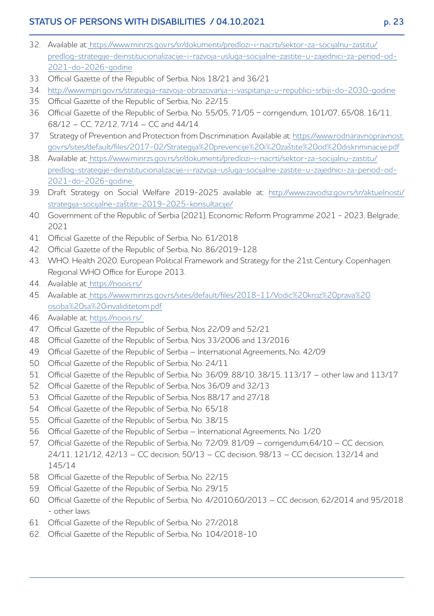# **STATUS OF PERSONS WITH DISABILITIES / 04.10.2021 p. 23**

- 32. Available at: https://www.minrzs.gov.rs/sr/dokumenti/predlozi-i-nacrti/sektor-za-socijalnu-zastitu/ [predlog-strategije-deinstitucionalizacije-i-razvoja-usluga-socijalne-zastite-u-zajednici-za-period-od-](https://www.minrzs.gov.rs/sr/dokumenti/predlozi-i-nacrti/sektor-za-socijalnu-zastitu/predlog-strategije-deinstitucionalizacije-i-razvoja-usluga-socijalne-zastite-u-zajednici-za-period-od-2021-do-2026-godine)2021-do-2026-godine
- 33. Official Gazette of the Republic of Serbia, Nos 18/21 and 36/21
- 34. <http://www.mpn.gov.rs/strategija-razvoja-obrazovanja-i-vaspitanja-u-republici-srbiji-do-2030-godine>
- 35. Official Gazette of the Republic of Serbia, No. 22/15
- 36. Official Gazette of the Republic of Serbia, No. 55/05, 71/05 − corrigendum, 101/07, 65/08, 16/11, 68/12 – CC, 72/12, 7/14 – CC and 44/14
- 37. [Strategy of Prevention and Protection from Discrimination.](https://www.rodnaravnopravnost.gov.rs/sites/default/files/2017-02/Strategija%20prevencije%20i%20za%C5%A1tite%20od%20diskriminacije.pdf) Available at: https://www.rodnaravnopravnost. [gov.rs/sites/default/files/2017-02/Strategija%20prevencije%20i%20zaštite%20od%20diskriminacije.pdf](https://www.rodnaravnopravnost.gov.rs/sites/default/files/2017-02/Strategija%20prevencije%20i%20za%C5%A1tite%20od%20diskriminacije.pdf)
- 38. Available at: https://www.minrzs.gov.rs/sr/dokumenti/predlozi-i-nacrti/sektor-za-socijalnu-zastitu/ [predlog-strategije-deinstitucionalizacije-i-razvoja-usluga-socijalne-zastite-u-zajednici-za-period-od-](https://www.minrzs.gov.rs/sr/dokumenti/predlozi-i-nacrti/sektor-za-socijalnu-zastitu/predlog-strategije-deinstitucionalizacije-i-razvoja-usluga-socijalne-zastite-u-zajednici-za-period-od-2021-do-2026-godine)2021-do-2026-godine
- 39. [Draft Strategy on Social Welfare 2019-2025 available at: http://www.zavodsz.gov.rs/sr/aktuelnosti/](http://www.zavodsz.gov.rs/sr/aktuelnosti/strategija-socijalne-za%C5%A1tite-2019-2025-konsultacije/) strategija-socijalne-zaštite-2019-2025-konsultacije/
- 40. Government of the Republic of Serbia (2021), Economic Reform Programme 2021 2023, Belgrade, 2021
- 41. Official Gazette of the Republic of Serbia, No. 61/2018
- 42. Official Gazette of the Republic of Serbia, No. 86/2019-128
- 43. WHO. Health 2020. European Political Framework and Strategy for the 21st Century. Copenhagen: Regional WHO Office for Europe 2013.
- 44. Available at: https://noois.rs/
- 45. Available at: [https://www.minrzs.gov.rs/sites/default/files/2018-11/Vodic%20kroz%20prava%20](https://www.minrzs.gov.rs/sites/default/files/2018-11/Vodic%20kroz%20prava%20osoba%20sa%20invaliditetom.pdf) osoba%20sa%20invaliditetom.pdf
- 46. Available at: https://noois.rs/
- 47. Official Gazette of the Republic of Serbia, Nos 22/09 and 52/21
- 48. Official Gazette of the Republic of Serbia, Nos 33/2006 and 13/2016
- 49. Official Gazette of the Republic of Serbia International Agreements, No. 42/09
- 50. Official Gazette of the Republic of Serbia, No. 24/11
- 51. Official Gazette of the Republic of Serbia, No. 36/09, 88/10, 38/15, 113/17 other law and 113/17
- 52. Official Gazette of the Republic of Serbia, Nos 36/09 and 32/13
- 53. Official Gazette of the Republic of Serbia, Nos 88/17 and 27/18
- 54. Official Gazette of the Republic of Serbia, No. 65/18
- 55. Official Gazette of the Republic of Serbia, No. 38/15
- 56. Official Gazette of the Republic of Serbia International Agreements, No. 1/20
- 57. Official Gazette of the Republic of Serbia, No. 72/09, 81/09 corrigendum,64/10 CC decision, 24/11, 121/12, 42/13 – CC decision, 50/13 – CC decision, 98/13 – CC decision, 132/14 and 145/14
- 58. Official Gazette of the Republic of Serbia, No. 22/15
- 59. Official Gazette of the Republic of Serbia, No. 29/15
- 60. Official Gazette of the Republic of Serbia, No. 4/2010,60/2013 CC decision, 62/2014 and 95/2018 - other laws
- 61. Official Gazette of the Republic of Serbia, No. 27/2018
- 62. Official Gazette of the Republic of Serbia, No. 104/2018-10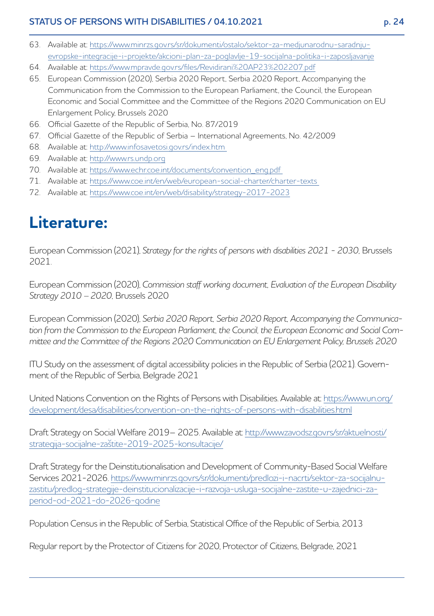# **STATUS OF PERSONS WITH DISABILITIES / 04.10.2021 p. 24**

- 63. [Available at: https://www.minrzs.gov.rs/sr/dokumenti/ostalo/sektor-za-medjunarodnu-saradnju](https://www.minrzs.gov.rs/sr/dokumenti/ostalo/sektor-za-medjunarodnu-saradnju-evropske-integracije-i-projekte/akcioni-plan-za-poglavlje-19-socijalna-politika-i-zaposljavanje)evropske-integracije-i-projekte/akcioni-plan-za-poglavlje-19-socijalna-politika-i-zaposljavanje
- 64. Available at: https://www.mpravde.gov.rs/files/Revidirani%20AP23%202207.pdf
- 65. European Commission (2020), Serbia 2020 Report, Serbia 2020 Report, Accompanying the Communication from the Commission to the European Parliament, the Council, the European Economic and Social Committee and the Committee of the Regions 2020 Communication on EU Enlargement Policy, Brussels 2020
- 66. Official Gazette of the Republic of Serbia, No. 87/2019
- 67. Official Gazette of the Republic of Serbia International Agreements, No. 42/2009
- 68. Available at: http://www.infosavetosi.gov.rs/index.htm
- 69. Available at: http://www.rs.undp.org
- 70. Available at: https://www.echr.coe.int/documents/convention\_eng.pdf
- 71. Available at: https://www.coe.int/en/web/european-social-charter/charter-texts
- 72. Available at: https://www.coe.int/en/web/disability/strategy-2017-2023

# **Literature:**

European Commission (2021), *Strategy for the rights of persons with disabilities 2021 - 2030*, Brussels 2021.

European Commission (2020), *Commission staff working document, Evaluation of the European Disability Strategy 2010 – 2020,* Brussels 2020

European Commission (2020), *Serbia 2020 Report, Serbia 2020 Report, Accompanying the Communication from the Commission to the European Parliament, the Council, the European Economic and Social Committee and the Committee of the Regions 2020 Communication on EU Enlargement Policy, Brussels 2020*

ITU Study on the assessment of digital accessibility policies in the Republic of Serbia (2021). Government of the Republic of Serbia, Belgrade 2021

[United Nations Convention on the Rights of Persons with Disabilities. Available at: https://www.un.org/](https://www.un.org/development/desa/disabilities/convention-on-the-rights-of-persons-with-disabilities.html) development/desa/disabilities/convention-on-the-rights-of-persons-with-disabilities.html

[Draft Strategy on Social Welfare 2019– 2025. Available at: http://www.zavodsz.gov.rs/sr/aktuelnosti/](http://www.zavodsz.gov.rs/sr/aktuelnosti/strategija-socijalne-za%C5%A1tite-2019-2025-konsultacije/) [strategija-socijalne](http://www.zavodsz.gov.rs/sr/aktuelnosti/strategija-socijalne-zaštite-2019-2025-konsultacije/)-zaštite-2019-2025-konsultacije/

Draft Strategy for the Deinstitutionalisation and Development of Community-Based Social Welfare [Services 2021-2026. https://www.minrzs.gov.rs/sr/dokumenti/predlozi-i-nacrti/sektor-za-socijalnu](https://www.minrzs.gov.rs/sr/dokumenti/predlozi-i-nacrti/sektor-za-socijalnu-zastitu/predlog-strategije-deinstitucionalizacije-i-razvoja-usluga-socijalne-zastite-u-zajednici-za-period-od-2021-do-2026-godine)zastitu/predlog-strategije-deinstitucionalizacije-i-razvoja-usluga-socijalne-zastite-u-zajednici-zaperiod-od-2021-do-2026-aodine

Population Census in the Republic of Serbia, Statistical Office of the Republic of Serbia, 2013

Regular report by the Protector of Citizens for 2020, Protector of Citizens, Belgrade, 2021